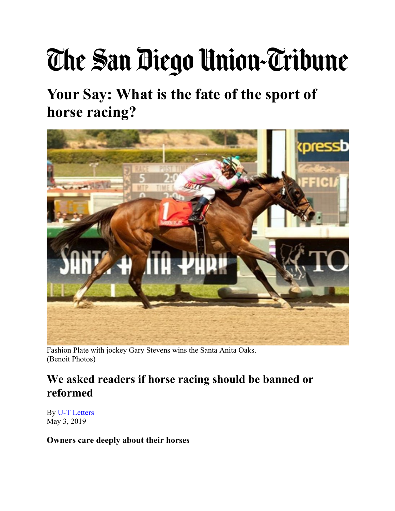## The San Diego Union-Tribune

**Your Say: What is the fate of the sport of horse racing?** 



Fashion Plate with jockey Gary Stevens wins the Santa Anita Oaks. (Benoit Photos)

## **We asked readers if horse racing should be banned or reformed**

By U-T Letters May 3, 2019

**Owners care deeply about their horses**